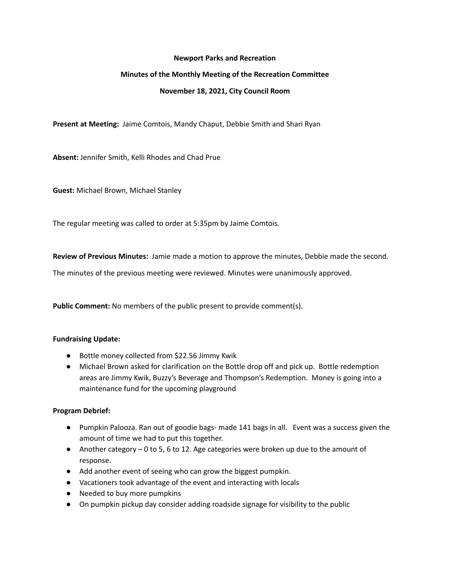#### **Newport Parks and Recreation**

# **Minutes of the Monthly Meeting of the Recreation Committee**

# **November 18, 2021, City Council Room**

**Present at Meeting:** Jaime Comtois, Mandy Chaput, Debbie Smith and Shari Ryan

**Absent:** Jennifer Smith, Kelli Rhodes and Chad Prue

**Guest:** Michael Brown, Michael Stanley

The regular meeting was called to order at 5:35pm by Jaime Comtois.

**Review of Previous Minutes:** Jamie made a motion to approve the minutes, Debbie made the second.

The minutes of the previous meeting were reviewed. Minutes were unanimously approved.

**Public Comment:** No members of the public present to provide comment(s).

# **Fundraising Update:**

- Bottle money collected from \$22.56 Jimmy Kwik
- Michael Brown asked for clarification on the Bottle drop off and pick up. Bottle redemption areas are Jimmy Kwik, Buzzy's Beverage and Thompson's Redemption. Money is going into a maintenance fund for the upcoming playground

# **Program Debrief:**

- Pumpkin Palooza. Ran out of goodie bags- made 141 bags in all. Event was a success given the amount of time we had to put this together.
- Another category 0 to 5, 6 to 12. Age categories were broken up due to the amount of response.
- Add another event of seeing who can grow the biggest pumpkin.
- Vacationers took advantage of the event and interacting with locals
- Needed to buy more pumpkins
- On pumpkin pickup day consider adding roadside signage for visibility to the public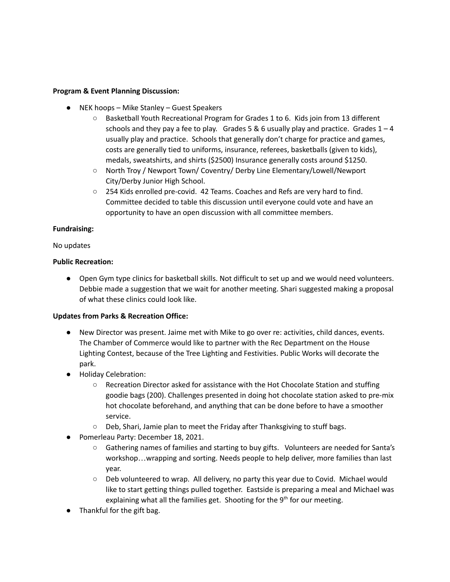# **Program & Event Planning Discussion:**

- NEK hoops Mike Stanley Guest Speakers
	- Basketball Youth Recreational Program for Grades 1 to 6. Kids join from 13 different schools and they pay a fee to play. Grades 5 & 6 usually play and practice. Grades  $1 - 4$ usually play and practice. Schools that generally don't charge for practice and games, costs are generally tied to uniforms, insurance, referees, basketballs (given to kids), medals, sweatshirts, and shirts (\$2500) Insurance generally costs around \$1250.
	- North Troy / Newport Town/ Coventry/ Derby Line Elementary/Lowell/Newport City/Derby Junior High School.
	- 254 Kids enrolled pre-covid. 42 Teams. Coaches and Refs are very hard to find. Committee decided to table this discussion until everyone could vote and have an opportunity to have an open discussion with all committee members.

#### **Fundraising:**

#### No updates

# **Public Recreation:**

● Open Gym type clinics for basketball skills. Not difficult to set up and we would need volunteers. Debbie made a suggestion that we wait for another meeting. Shari suggested making a proposal of what these clinics could look like.

# **Updates from Parks & Recreation Office:**

- New Director was present. Jaime met with Mike to go over re: activities, child dances, events. The Chamber of Commerce would like to partner with the Rec Department on the House Lighting Contest, because of the Tree Lighting and Festivities. Public Works will decorate the park.
- Holiday Celebration:
	- Recreation Director asked for assistance with the Hot Chocolate Station and stuffing goodie bags (200). Challenges presented in doing hot chocolate station asked to pre-mix hot chocolate beforehand, and anything that can be done before to have a smoother service.
	- Deb, Shari, Jamie plan to meet the Friday after Thanksgiving to stuff bags.
- Pomerleau Party: December 18, 2021.
	- Gathering names of families and starting to buy gifts. Volunteers are needed for Santa's workshop…wrapping and sorting. Needs people to help deliver, more families than last year.
	- Deb volunteered to wrap. All delivery, no party this year due to Covid. Michael would like to start getting things pulled together. Eastside is preparing a meal and Michael was explaining what all the families get. Shooting for the 9<sup>th</sup> for our meeting.
- Thankful for the gift bag.